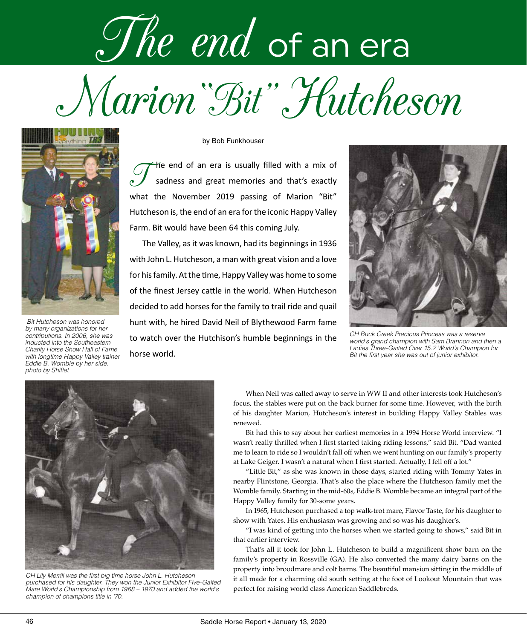## Marion"Bit" Hutcheson The end of an era



 *Bit Hutcheson was honored by many organizations for her contributions. In 2006, she was inducted into the Southeastern Charity Horse Show Hall of Fame with longtime Happy Valley trainer Eddie B. Womble by her side. photo by Shiflet*

by Bob Funkhouser

He end of an era is usually filled with a mix of sadness and great memories and that's exactly what the November 2019 passing of Marion "Bit" Hutcheson is, the end of an era for the iconic Happy Valley Farm. Bit would have been 64 this coming July.

The Valley, as it was known, had its beginnings in 1936 with John L. Hutcheson, a man with great vision and a love for his family. At the time, Happy Valley was home to some of the finest Jersey cattle in the world. When Hutcheson decided to add horses for the family to trail ride and quail hunt with, he hired David Neil of Blythewood Farm fame to watch over the Hutchison's humble beginnings in the horse world.



*CH Buck Creek Precious Princess was a reserve world's grand champion with Sam Brannon and then a Ladies Three-Gaited Over 15.2 World's Champion for Bit the first year she was out of junior exhibitor.*



*CH Lily Merrill was the first big time horse John L. Hutcheson purchased for his daughter. They won the Junior Exhibitor Five-Gaited Mare World's Championship from 1968 – 1970 and added the world's champion of champions title in '70.*

When Neil was called away to serve in WW II and other interests took Hutcheson's focus, the stables were put on the back burner for some time. However, with the birth of his daughter Marion, Hutcheson's interest in building Happy Valley Stables was renewed.

Bit had this to say about her earliest memories in a 1994 Horse World interview. "I wasn't really thrilled when I first started taking riding lessons," said Bit. "Dad wanted me to learn to ride so I wouldn't fall off when we went hunting on our family's property at Lake Geiger. I wasn't a natural when I first started. Actually, I fell off a lot."

"Little Bit," as she was known in those days, started riding with Tommy Yates in nearby Flintstone, Georgia. That's also the place where the Hutcheson family met the Womble family. Starting in the mid-60s, Eddie B. Womble became an integral part of the Happy Valley family for 30-some years.

In 1965, Hutcheson purchased a top walk-trot mare, Flavor Taste, for his daughter to show with Yates. His enthusiasm was growing and so was his daughter's.

"I was kind of getting into the horses when we started going to shows," said Bit in that earlier interview.

That's all it took for John L. Hutcheson to build a magnificent show barn on the family's property in Rossville (GA). He also converted the many dairy barns on the property into broodmare and colt barns. The beautiful mansion sitting in the middle of it all made for a charming old south setting at the foot of Lookout Mountain that was perfect for raising world class American Saddlebreds.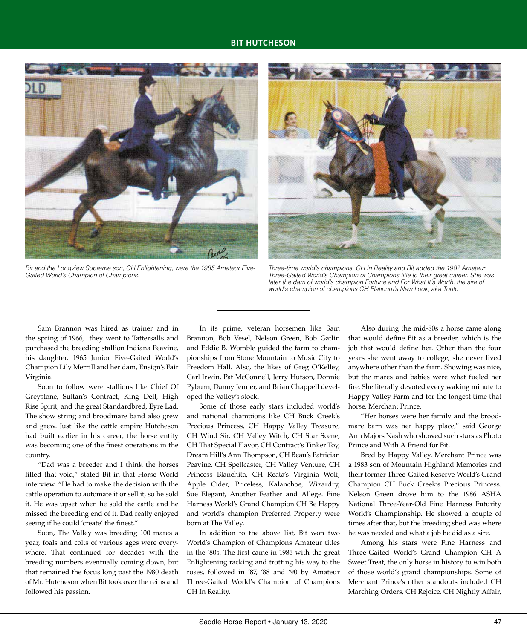## **BIT HUTCHESON**



*Bit and the Longview Supreme son, CH Enlightening, were the 1985 Amateur Five-Gaited World's Champion of Champions.*



*Three-time world's champions, CH In Reality and Bit added the 1987 Amateur Three-Gaited World's Champion of Champions title to their great career. She was*  later the dam of world's champion Fortune and For What It's Worth, the sire of *world's champion of champions CH Platinum's New Look, aka Tonto.*

Sam Brannon was hired as trainer and in the spring of 1966, they went to Tattersalls and purchased the breeding stallion Indiana Peavine, his daughter, 1965 Junior Five-Gaited World's Champion Lily Merrill and her dam, Ensign's Fair Virginia.

Soon to follow were stallions like Chief Of Greystone, Sultan's Contract, King Dell, High Rise Spirit, and the great Standardbred, Eyre Lad. The show string and broodmare band also grew and grew. Just like the cattle empire Hutcheson had built earlier in his career, the horse entity was becoming one of the finest operations in the country.

"Dad was a breeder and I think the horses filled that void," stated Bit in that Horse World interview. "He had to make the decision with the cattle operation to automate it or sell it, so he sold it. He was upset when he sold the cattle and he missed the breeding end of it. Dad really enjoyed seeing if he could 'create' the finest."

Soon, The Valley was breeding 100 mares a year, foals and colts of various ages were everywhere. That continued for decades with the breeding numbers eventually coming down, but that remained the focus long past the 1980 death of Mr. Hutcheson when Bit took over the reins and followed his passion.

In its prime, veteran horsemen like Sam Brannon, Bob Vesel, Nelson Green, Bob Gatlin and Eddie B. Womble guided the farm to championships from Stone Mountain to Music City to Freedom Hall. Also, the likes of Greg O'Kelley, Carl Irwin, Pat McConnell, Jerry Hutson, Donnie Pyburn, Danny Jenner, and Brian Chappell developed the Valley's stock.

Some of those early stars included world's and national champions like CH Buck Creek's Precious Princess, CH Happy Valley Treasure, CH Wind Sir, CH Valley Witch, CH Star Scene, CH That Special Flavor, CH Contract's Tinker Toy, Dream Hill's Ann Thompson, CH Beau's Patrician Peavine, CH Spellcaster, CH Valley Venture, CH Princess Blanchita, CH Reata's Virginia Wolf, Apple Cider, Priceless, Kalanchoe, Wizardry, Sue Elegant, Another Feather and Allege. Fine Harness World's Grand Champion CH Be Happy and world's champion Preferred Property were born at The Valley.

In addition to the above list, Bit won two World's Champion of Champions Amateur titles in the '80s. The first came in 1985 with the great Enlightening racking and trotting his way to the roses, followed in '87, '88 and '90 by Amateur Three-Gaited World's Champion of Champions CH In Reality.

Also during the mid-80s a horse came along that would define Bit as a breeder, which is the job that would define her. Other than the four years she went away to college, she never lived anywhere other than the farm. Showing was nice, but the mares and babies were what fueled her fire. She literally devoted every waking minute to Happy Valley Farm and for the longest time that horse, Merchant Prince.

"Her horses were her family and the broodmare barn was her happy place," said George Ann Majors Nash who showed such stars as Photo Prince and With A Friend for Bit.

Bred by Happy Valley, Merchant Prince was a 1983 son of Mountain Highland Memories and their former Three-Gaited Reserve World's Grand Champion CH Buck Creek's Precious Princess. Nelson Green drove him to the 1986 ASHA National Three-Year-Old Fine Harness Futurity World's Championship. He showed a couple of times after that, but the breeding shed was where he was needed and what a job he did as a sire.

Among his stars were Fine Harness and Three-Gaited World's Grand Champion CH A Sweet Treat, the only horse in history to win both of those world's grand championships. Some of Merchant Prince's other standouts included CH Marching Orders, CH Rejoice, CH Nightly Affair,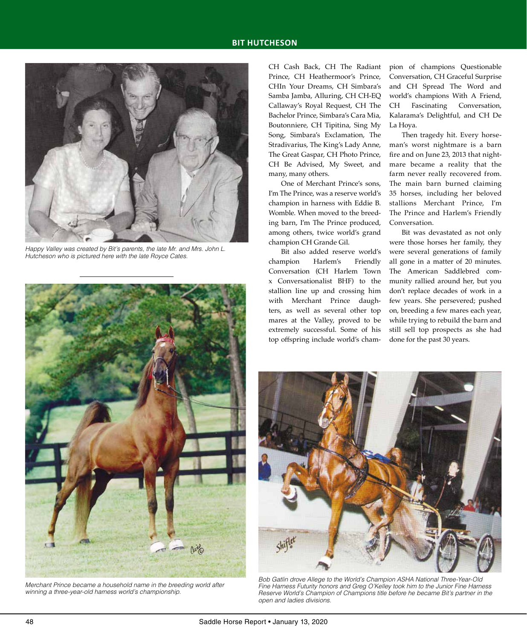

*Happy Valley was created by Bit's parents, the late Mr. and Mrs. John L. Hutcheson who is pictured here with the late Royce Cates.*



*Merchant Prince became a household name in the breeding world after winning a three-year-old harness world's championship.*

CH Cash Back, CH The Radiant Prince, CH Heathermoor's Prince, CHIn Your Dreams, CH Simbara's Samba Jamba, Alluring, CH CH-EQ Callaway's Royal Request, CH The Bachelor Prince, Simbara's Cara Mia, Boutonniere, CH Tipitina, Sing My Song, Simbara's Exclamation, The Stradivarius, The King's Lady Anne, The Great Gaspar, CH Photo Prince, CH Be Advised, My Sweet, and many, many others.

One of Merchant Prince's sons, I'm The Prince, was a reserve world's champion in harness with Eddie B. Womble. When moved to the breeding barn, I'm The Prince produced, among others, twice world's grand champion CH Grande Gil.

Bit also added reserve world's champion Harlem's Friendly Conversation (CH Harlem Town x Conversationalist BHF) to the stallion line up and crossing him with Merchant Prince daughters, as well as several other top mares at the Valley, proved to be extremely successful. Some of his top offspring include world's champion of champions Questionable Conversation, CH Graceful Surprise and CH Spread The Word and world's champions With A Friend, CH Fascinating Conversation, Kalarama's Delightful, and CH De La Hoya.

Then tragedy hit. Every horseman's worst nightmare is a barn fire and on June 23, 2013 that nightmare became a reality that the farm never really recovered from. The main barn burned claiming 35 horses, including her beloved stallions Merchant Prince, I'm The Prince and Harlem's Friendly Conversation.

Bit was devastated as not only were those horses her family, they were several generations of family all gone in a matter of 20 minutes. The American Saddlebred community rallied around her, but you don't replace decades of work in a few years. She persevered; pushed on, breeding a few mares each year, while trying to rebuild the barn and still sell top prospects as she had done for the past 30 years.



*Bob Gatlin drove Allege to the World's Champion ASHA National Three-Year-Old Fine Harness Futurity honors and Greg O'Kelley took him to the Junior Fine Harness Reserve World's Champion of Champions title before he became Bit's partner in the open and ladies divisions.*